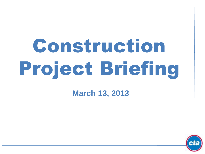# Construction Project Briefing

**March 13, 2013**

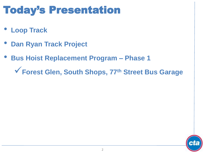# Today's Presentation

- **Loop Track**
- **Dan Ryan Track Project**
- **Bus Hoist Replacement Program – Phase 1**

**Forest Glen, South Shops, 77th Street Bus Garage**

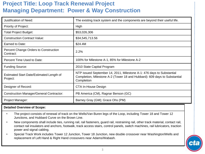### **Project Title: Loop Track Renewal Project Managing Department: Power & Way Construction**

| <b>Justification of Need:</b>                        | The existing track system and the components are beyond their useful life.                                                                                       |
|------------------------------------------------------|------------------------------------------------------------------------------------------------------------------------------------------------------------------|
| <b>Priority of Project:</b>                          | High                                                                                                                                                             |
| <b>Total Project Budget:</b>                         | \$53,026,306                                                                                                                                                     |
| <b>Construction Contract Value:</b>                  | \$34,545,713.56                                                                                                                                                  |
| Earned to Date:                                      | \$24.4M                                                                                                                                                          |
| Percent Change Orders to Construction<br>Contract:   | 2.2%                                                                                                                                                             |
| Percent Time Used to Date:                           | 100% for Milestone A-1, 85% for Milestone A-2                                                                                                                    |
| <b>Funding Source:</b>                               | 2010 State Capital Program                                                                                                                                       |
| Estimated Start Date/Estimated Length of<br>Project: | NTP issued September 14, 2011, Milestone A-1: 476 days to Substantial<br>Completion, Milestone A-2 (Tower 18 and Hubbard): 609 days to Substantial<br>Completion |
| Designer of Record:                                  | CTA In-House Design                                                                                                                                              |
| <b>Construction Manager/General Contractor:</b>      | PB America (CM), Ragnar Benson (GC)                                                                                                                              |
| Project Manager:                                     | Barney Gray (GM); Grace Ohs (PM)                                                                                                                                 |

#### **Detailed Overview of Scope:**

- The project consists of renewal of track on the Wells/Van Buren legs of the Loop, including Tower 18 and Tower 12 Junctions, and Hubbard Curve on the Brown Line.
- New components shall include ties, running rail, rail fasteners, guard rail, restraining rail, other track material, contact rail, contact rail insulators and anchors, footwalk, track access stairs, control panels, switch machines, rail lubricators, traction power and signal cabling.
- Special Track Work includes Tower 12 Junction, Tower 18 Junction, new double crossover near Washington/Wells and replacement of Left Hand & Right Hand crossovers near Adams/Wabash.

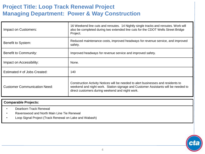# **Project Title: Loop Track Renewal Project Managing Department: Power & Way Construction**

| Impact on Customers:                | 16 Weekend line cuts and reroutes. 14 Nightly single tracks and reroutes. Work will<br>also be completed during two extended line cuts for the CDOT Wells Street Bridge<br>Project.                                       |
|-------------------------------------|---------------------------------------------------------------------------------------------------------------------------------------------------------------------------------------------------------------------------|
| Benefit to System:                  | Reduced maintenance costs, improved headways for revenue service, and improved<br>safety.                                                                                                                                 |
| Benefit to Community:               | Improved headways for revenue service and improved safety.                                                                                                                                                                |
| Impact on Accessibility:            | None.                                                                                                                                                                                                                     |
| Estimated # of Jobs Created:        | 140                                                                                                                                                                                                                       |
| <b>Customer Communication Need:</b> | Construction Activity Notices will be needed to alert businesses and residents to<br>weekend and night work. Station signage and Customer Assistants will be needed to<br>direct customers during weekend and night work. |

#### **Comparable Projects:**

- Dearborn Track Renewal
- Ravenswood and North Main Line Tie Renewal
- Loop Signal Project (Track Renewal on Lake and Wabash)

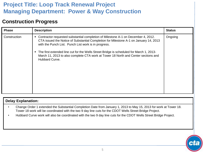# **Project Title: Loop Track Renewal Project Managing Department: Power & Way Construction**

#### **Construction Progress**

| <b>Phase</b> | <b>Description</b>                                                                                                                                                                                                                                                                                                                                                                                                                    | <b>Status</b> |
|--------------|---------------------------------------------------------------------------------------------------------------------------------------------------------------------------------------------------------------------------------------------------------------------------------------------------------------------------------------------------------------------------------------------------------------------------------------|---------------|
| Construction | Contractor requested substantial completion of Milestone A-1 on December 4, 2012.<br>CTA issued the Notice of Substantial Completion for Milestone A-1 on January 14, 2013<br>with the Punch List. Punch List work is in progress.<br>The first extended line cut for the Wells Street Bridge is scheduled for March 1, 2013-<br>March 11, 2013 to also complete CTA work at Tower 18 North and Center sections and<br>Hubbard Curve. | Ongoing       |

#### **Delay Explanation:**

- Change Order 1 extended the Substantial Completion Date from January 1, 2013 to May 15, 2013 for work at Tower 18. Tower 18 work will be coordinated with the two 9 day line cuts for the CDOT Wells Street Bridge Project.
- Hubbard Curve work will also be coordinated with the two 9 day line cuts for the CDOT Wells Street Bridge Project.

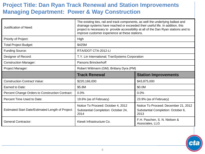# **Project Title: Dan Ryan Track Renewal and Station Improvements Managing Department: Power & Way Construction**

| <b>Justification of Need:</b>                     | The existing ties, rail and track components, as well the underlying ballast and<br>drainage systems have reached or exceeded their useful life. In addition, this<br>project is necessary to provide accessibility at all of the Dan Ryan stations and to<br>improve customer experience at these stations. |                                                                                    |  |
|---------------------------------------------------|--------------------------------------------------------------------------------------------------------------------------------------------------------------------------------------------------------------------------------------------------------------------------------------------------------------|------------------------------------------------------------------------------------|--|
| Priority of Project:                              | High                                                                                                                                                                                                                                                                                                         |                                                                                    |  |
| <b>Total Project Budget:</b>                      | \$425M                                                                                                                                                                                                                                                                                                       |                                                                                    |  |
| <b>Funding Source:</b>                            | RTA/IDOT CTA-2012-LI                                                                                                                                                                                                                                                                                         |                                                                                    |  |
| Designer of Record:                               | T.Y. Lin International; TranSystems Corporation                                                                                                                                                                                                                                                              |                                                                                    |  |
| <b>Construction Manager:</b>                      | <b>Parsons Brinckerhoff</b>                                                                                                                                                                                                                                                                                  |                                                                                    |  |
| Project Manager:                                  | Robert Wittmann (GM); Brittany Dyra (PM)                                                                                                                                                                                                                                                                     |                                                                                    |  |
|                                                   | <b>Track Renewal</b>                                                                                                                                                                                                                                                                                         | <b>Station Improvements</b>                                                        |  |
| <b>Construction Contract Value:</b>               | \$220,166,000                                                                                                                                                                                                                                                                                                | \$43,875,000                                                                       |  |
| Earned to Date:                                   | \$5.8M                                                                                                                                                                                                                                                                                                       | \$0.0M                                                                             |  |
| Percent Change Orders to Construction Contract:   | 0.0%                                                                                                                                                                                                                                                                                                         | 0.0%                                                                               |  |
| Percent Time Used to Date:                        | 19.6% (as of February)                                                                                                                                                                                                                                                                                       | 23.9% (as of February)                                                             |  |
| Estimated Start Date/Estimated Length of Project: | Notice To Proceed: October 4, 2012<br>Substantial Completion: October 24,<br>2014                                                                                                                                                                                                                            | Notice To Proceed: December 21, 2012<br>Substantial Completion: October 6,<br>2013 |  |
| <b>General Contractor:</b>                        | Kiewit Infrastructure Co.                                                                                                                                                                                                                                                                                    | F.H. Paschen, S. N. Nielsen &<br>Associates, LLG                                   |  |

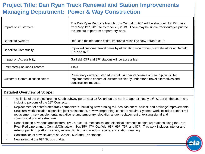# **Project Title: Dan Ryan Track Renewal and Station Improvements Managing Department: Power & Way Construction**

| Impact on Customers:         | The Dan Ryan Red Line branch from Cermak to 95 <sup>th</sup> will be shutdown for 154 days<br>from May 19th, 2013 to October 20, 2013. There may be single track outages prior to<br>the line cut to perform preparatory work. |
|------------------------------|--------------------------------------------------------------------------------------------------------------------------------------------------------------------------------------------------------------------------------|
| Benefit to System:           | Reduced maintenance costs; Improved reliability; New infrastructure                                                                                                                                                            |
| Benefit to Community:        | Improved customer travel times by eliminating slow zones; New elevators at Garfield,<br>$63rd$ and $87th$                                                                                                                      |
| Impact on Accessibility:     | Garfield, 63 <sup>rd</sup> and 87 <sup>th</sup> stations will be accessible.                                                                                                                                                   |
| Estimated # of Jobs Created: | 1150                                                                                                                                                                                                                           |
| Customer Communication Need: | Preliminary outreach started last fall. A comprehensive outreach plan will be<br>implemented to ensure all customers clearly understand travel alternatives and<br>construction impacts.                                       |

#### **Detailed Overview of Scope:**

- The limits of the project are the South subway portal near 16<sup>th</sup>/Clark on the north to approximately 95<sup>th</sup> Street on the south and including portions of the 18<sup>th</sup> Connector.
- Replacement of deteriorated track components, including new running rail, ties, fasteners, ballast, and drainage improvements. Structural work includes expansion joint replacement, new waterproofing, concrete repairs. Systems work includes contact rail replacement, new supplemental negative return, temporary relocation and/or replacement of existing signal and communications infrastructure.
- Rehabilitation of various architectural, civil, structural, mechanical and electrical elements at eight (8) stations along the Dan Ryan Red Line branch: Cermak/Chinatown, Sox/35<sup>th</sup>, 47<sup>th</sup>, Garfield, 63<sup>rd</sup>, 69<sup>th</sup>, 79<sup>th</sup>, and 87<sup>th</sup>. This work includes interior and exterior painting, platform canopy repairs, lighting and window repairs, and station cleaning.
- Construction of new elevators at Garfield, 63<sup>rd</sup> and 87<sup>th</sup> stations.
- New railing at the 69<sup>th</sup> St. bus bridge.

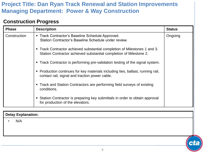## **Project Title: Dan Ryan Track Renewal and Station Improvements Managing Department: Power & Way Construction**

#### **Construction Progress**

| <b>Phase</b> | <b>Description</b>                                                                                                                              | <b>Status</b> |
|--------------|-------------------------------------------------------------------------------------------------------------------------------------------------|---------------|
| Construction | • Track Contractor's Baseline Schedule Approved.<br>Station Contractor's Baseline Schedule under review.                                        | Ongoing       |
|              | • Track Contractor achieved substantial completion of Milestones 1 and 3.<br>Station Contractor achieved substantial completion of Milestone 2. |               |
|              | • Track Contractor is performing pre-validation testing of the signal system.                                                                   |               |
|              | • Production continues for key materials including ties, ballast, running rail,<br>contact rail, signal and traction power cable.               |               |
|              | • Track and Station Contractors are performing field surveys of existing<br>conditions.                                                         |               |
|              | • Station Contractor is preparing key submittals in order to obtain approval<br>for production of the elevators.                                |               |

**Delay Explanation:**

• N/A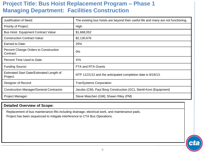| Justification of Need:                               | The existing bus hoists are beyond their useful life and many are not functioning. |
|------------------------------------------------------|------------------------------------------------------------------------------------|
| Priority of Project:                                 | High                                                                               |
| <b>Bus Hoist Equipment Contract Value:</b>           | \$1,668,052                                                                        |
| <b>Construction Contract Value:</b>                  | \$2,130,676                                                                        |
| Earned to Date:                                      | 25%                                                                                |
| Percent Change Orders to Construction<br>Contract:   | 0%                                                                                 |
| Percent Time Used to Date:                           | 35%                                                                                |
| <b>Funding Source:</b>                               | FTA and RTA Grants                                                                 |
| Estimated Start Date/Estimated Length of<br>Project: | NTP 11/21/12 and the anticipated completion date is 8/16/13.                       |
| Designer of Record:                                  | <b>TranSystems Corporation</b>                                                     |
| <b>Construction Manager/General Contractor:</b>      | Jacobs (CM), Paul Borg Construction (GC), Stertil-Koni (Equipment)                 |
| Project Manager:                                     | Steve Mascheri (GM); Shawn Riley (PM)                                              |

#### **Detailed Overview of Scope:**

Replacement of bus maintenance lifts including drainage, electrical work, and maintenance pads. Project has been sequenced to mitigate interference to CTA Bus Operations.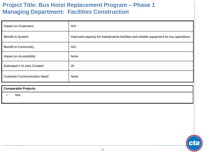| Impact on Customers:                | N/A                                                                                     |
|-------------------------------------|-----------------------------------------------------------------------------------------|
| Benefit to System:                  | Improved capacity for maintenance facilities and reliable equipment for bus operations. |
| Benefit to Community:               | N/A                                                                                     |
| Impact on Accessibility:            | None                                                                                    |
| Estimated # of Jobs Created:        | 25                                                                                      |
| <b>Customer Communication Need:</b> | None                                                                                    |

#### **Comparable Projects:**

• N/A

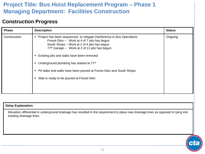#### **Construction Progress**

| <b>Phase</b> | <b>Description</b>                                                                                                                                                                                                                                                                                                                                                                                                                                                                 | <b>Status</b> |
|--------------|------------------------------------------------------------------------------------------------------------------------------------------------------------------------------------------------------------------------------------------------------------------------------------------------------------------------------------------------------------------------------------------------------------------------------------------------------------------------------------|---------------|
| Construction | • Project has been sequenced to mitigate interference to Bus Operations<br>Forest Glen - Work at 4 of 7 pits has begun<br>South Shops – Work at 2 of 4 pits has begun<br>77 <sup>th</sup> Garage - Work at 2 of 11 pits has begun<br>Existing pits and slabs have been removed<br>Underground plumbing has started at 77 <sup>th</sup><br>Pit slabs and walls have been poured at Forest Glen and South Shops<br>п.<br>Slab is ready to be poured at Forest Glen<br>$\blacksquare$ | Ongoing       |

#### **Delay Explanation:**

Elevation differential in underground drainage has resulted in the requirement to place new drainage lines as opposed to tying into existing drainage lines.

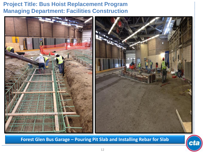

**Forest Glen Bus Garage – Pouring Pit Slab and Installing Rebar for Slab**